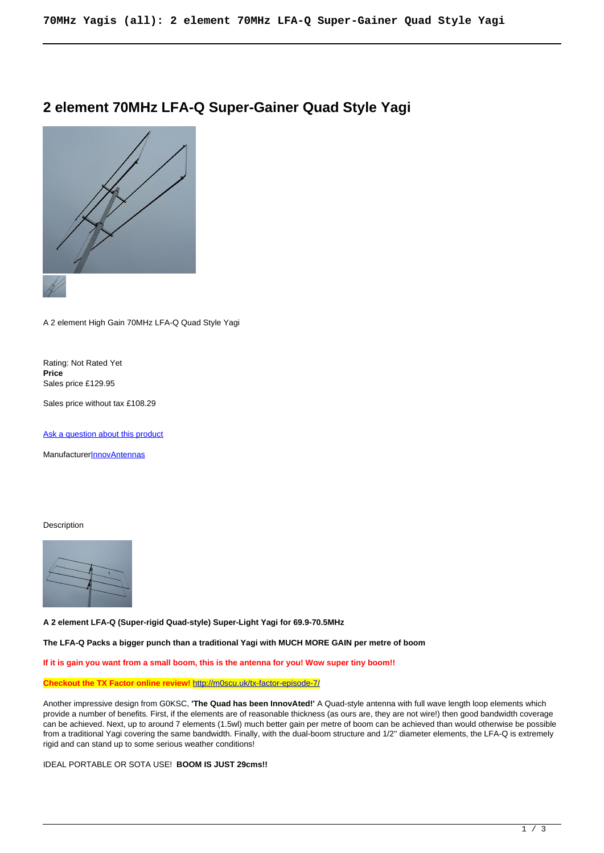# **2 element 70MHz LFA-Q Super-Gainer Quad Style Yagi**



A 2 element High Gain 70MHz LFA-Q Quad Style Yagi

Rating: Not Rated Yet **Price**  Sales price £129.95

Sales price without tax £108.29

[Ask a question about this product](https://innovantennas.com/index.php?option=com_virtuemart&view=productdetails&task=askquestion&virtuemart_product_id=352&virtuemart_category_id=2&tmpl=component)

Manufacturer**[InnovAntennas](https://innovantennas.com/index.php?option=com_virtuemart&view=manufacturer&virtuemart_manufacturer_id=1&tmpl=component)** 

#### Description



**A 2 element LFA-Q (Super-rigid Quad-style) Super-Light Yagi for 69.9-70.5MHz**

**The LFA-Q Packs a bigger punch than a traditional Yagi with MUCH MORE GAIN per metre of boom**

**If it is gain you want from a small boom, this is the antenna for you! Wow super tiny boom!!**

**Checkout the TX Factor online review!** <http://m0scu.uk/tx-factor-episode-7/>

Another impressive design from G0KSC, **'The Quad has been InnovAted!'** A Quad-style antenna with full wave length loop elements which provide a number of benefits. First, if the elements are of reasonable thickness (as ours are, they are not wire!) then good bandwidth coverage can be achieved. Next, up to around 7 elements (1.5wl) much better gain per metre of boom can be achieved than would otherwise be possible from a traditional Yagi covering the same bandwidth. Finally, with the dual-boom structure and 1/2'' diameter elements, the LFA-Q is extremely rigid and can stand up to some serious weather conditions!

IDEAL PORTABLE OR SOTA USE! **BOOM IS JUST 29cms!!**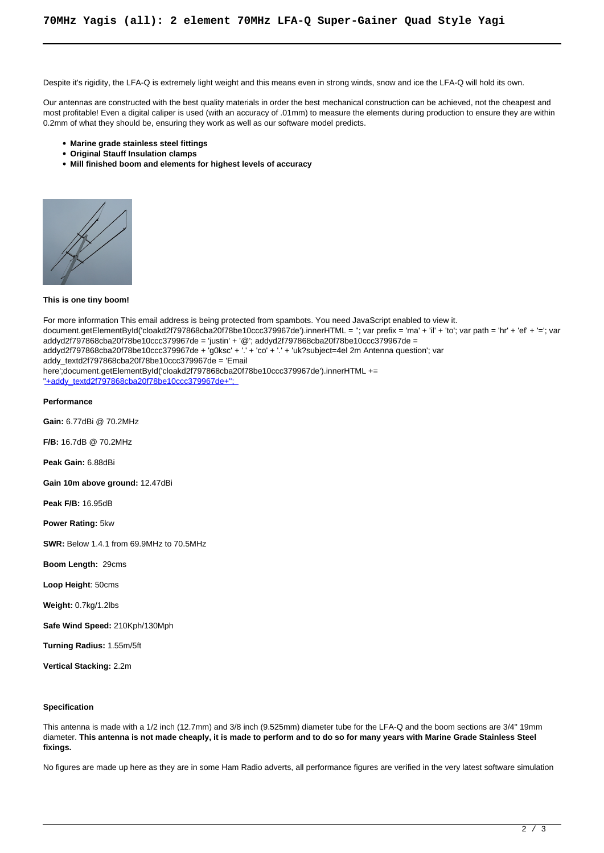Despite it's rigidity, the LFA-Q is extremely light weight and this means even in strong winds, snow and ice the LFA-Q will hold its own.

Our antennas are constructed with the best quality materials in order the best mechanical construction can be achieved, not the cheapest and most profitable! Even a digital caliper is used (with an accuracy of .01mm) to measure the elements during production to ensure they are within 0.2mm of what they should be, ensuring they work as well as our software model predicts.

- **Marine grade stainless steel fittings**
- **Original Stauff Insulation clamps**
- **Mill finished boom and elements for highest levels of accuracy**



#### **This is one tiny boom!**

For more information This email address is being protected from spambots. You need JavaScript enabled to view it. document.getElementById('cloakd2f797868cba20f78be10ccc379967de').innerHTML = "; var prefix = 'ma' + 'il' + 'to'; var path = 'hr' + 'ef' + '='; var addyd2f797868cba20f78be10ccc379967de = 'justin' + '@'; addyd2f797868cba20f78be10ccc379967de = addyd2f797868cba20f78be10ccc379967de + 'g0ksc' + '.' + 'co' + '.' + 'uk?subject=4el 2m Antenna question'; var addy\_textd2f797868cba20f78be10ccc379967de = 'Email here';document.getElementById('cloakd2f797868cba20f78be10ccc379967de').innerHTML += ''+addy\_textd2f797868cba20f78be10ccc379967de+'';

#### **Performance**

**Gain:** 6.77dBi @ 70.2MHz

**F/B:** 16.7dB @ 70.2MHz

**Peak Gain:** 6.88dBi

**Gain 10m above ground:** 12.47dBi

**Peak F/B:** 16.95dB

**Power Rating:** 5kw

**SWR:** Below 1.4.1 from 69.9MHz to 70.5MHz

**Boom Length:** 29cms

**Loop Height**: 50cms

**Weight:** 0.7kg/1.2lbs

**Safe Wind Speed:** 210Kph/130Mph

**Turning Radius:** 1.55m/5ft

**Vertical Stacking:** 2.2m

#### **Specification**

This antenna is made with a 1/2 inch (12.7mm) and 3/8 inch (9.525mm) diameter tube for the LFA-Q and the boom sections are 3/4'' 19mm diameter. **This antenna is not made cheaply, it is made to perform and to do so for many years with Marine Grade Stainless Steel fixings.**

No figures are made up here as they are in some Ham Radio adverts, all performance figures are verified in the very latest software simulation